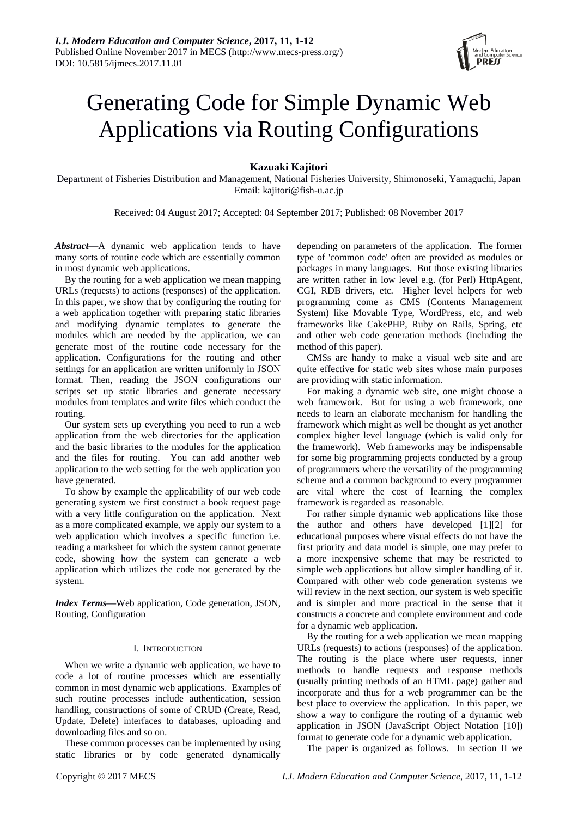

# Generating Code for Simple Dynamic Web Applications via Routing Configurations

# **Kazuaki Kajitori**

Department of Fisheries Distribution and Management, National Fisheries University, Shimonoseki, Yamaguchi, Japan Email: kajitori@fish-u.ac.jp

Received: 04 August 2017; Accepted: 04 September 2017; Published: 08 November 2017

*Abstract***—**A dynamic web application tends to have many sorts of routine code which are essentially common in most dynamic web applications.

By the routing for a web application we mean mapping URLs (requests) to actions (responses) of the application. In this paper, we show that by configuring the routing for a web application together with preparing static libraries and modifying dynamic templates to generate the modules which are needed by the application, we can generate most of the routine code necessary for the application. Configurations for the routing and other settings for an application are written uniformly in JSON format. Then, reading the JSON configurations our scripts set up static libraries and generate necessary modules from templates and write files which conduct the routing.

Our system sets up everything you need to run a web application from the web directories for the application and the basic libraries to the modules for the application and the files for routing. You can add another web application to the web setting for the web application you have generated.

To show by example the applicability of our web code generating system we first construct a book request page with a very little configuration on the application. Next as a more complicated example, we apply our system to a web application which involves a specific function i.e. reading a marksheet for which the system cannot generate code, showing how the system can generate a web application which utilizes the code not generated by the system.

*Index Terms***—**Web application, Code generation, JSON, Routing, Configuration

# I. INTRODUCTION

When we write a dynamic web application, we have to code a lot of routine processes which are essentially common in most dynamic web applications. Examples of such routine processes include authentication, session handling, constructions of some of CRUD (Create, Read, Update, Delete) interfaces to databases, uploading and downloading files and so on.

These common processes can be implemented by using static libraries or by code generated dynamically

depending on parameters of the application. The former type of 'common code' often are provided as modules or packages in many languages. But those existing libraries are written rather in low level e.g. (for Perl) HttpAgent, CGI, RDB drivers, etc. Higher level helpers for web programming come as CMS (Contents Management System) like Movable Type, WordPress, etc, and web frameworks like CakePHP, Ruby on Rails, Spring, etc and other web code generation methods (including the method of this paper).

CMSs are handy to make a visual web site and are quite effective for static web sites whose main purposes are providing with static information.

For making a dynamic web site, one might choose a web framework. But for using a web framework, one needs to learn an elaborate mechanism for handling the framework which might as well be thought as yet another complex higher level language (which is valid only for the framework). Web frameworks may be indispensable for some big programming projects conducted by a group of programmers where the versatility of the programming scheme and a common background to every programmer are vital where the cost of learning the complex framework is regarded as reasonable.

For rather simple dynamic web applications like those the author and others have developed [1][2] for educational purposes where visual effects do not have the first priority and data model is simple, one may prefer to a more inexpensive scheme that may be restricted to simple web applications but allow simpler handling of it. Compared with other web code generation systems we will review in the next section, our system is web specific and is simpler and more practical in the sense that it constructs a concrete and complete environment and code for a dynamic web application.

By the routing for a web application we mean mapping URLs (requests) to actions (responses) of the application. The routing is the place where user requests, inner methods to handle requests and response methods (usually printing methods of an HTML page) gather and incorporate and thus for a web programmer can be the best place to overview the application. In this paper, we show a way to configure the routing of a dynamic web application in JSON (JavaScript Object Notation [10]) format to generate code for a dynamic web application.

The paper is organized as follows. In section II we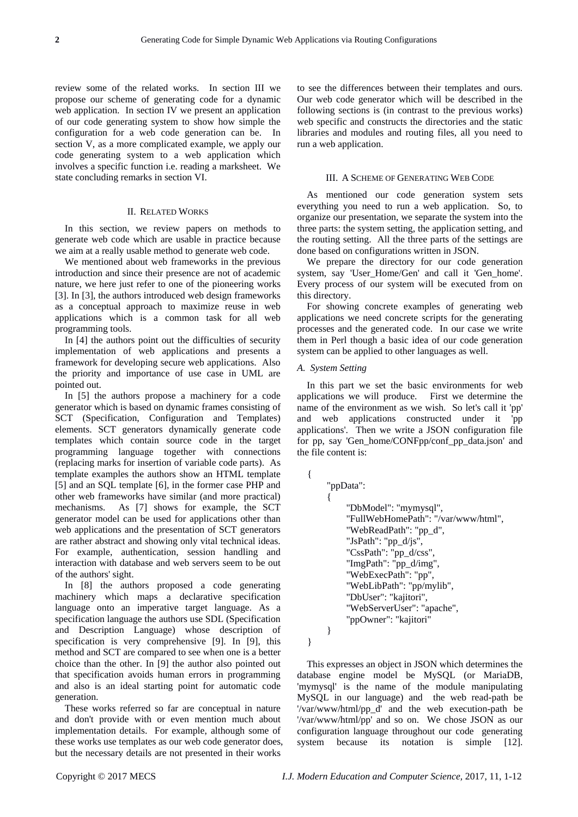review some of the related works. In section III we propose our scheme of generating code for a dynamic web application. In section IV we present an application of our code generating system to show how simple the configuration for a web code generation can be. In section V, as a more complicated example, we apply our code generating system to a web application which involves a specific function i.e. reading a marksheet. We state concluding remarks in section VI.

# II. RELATED WORKS

In this section, we review papers on methods to generate web code which are usable in practice because we aim at a really usable method to generate web code.

We mentioned about web frameworks in the previous introduction and since their presence are not of academic nature, we here just refer to one of the pioneering works [3]. In [3], the authors introduced web design frameworks as a conceptual approach to maximize reuse in web applications which is a common task for all web programming tools.

In [4] the authors point out the difficulties of security implementation of web applications and presents a framework for developing secure web applications. Also the priority and importance of use case in UML are pointed out.

In [5] the authors propose a machinery for a code generator which is based on dynamic frames consisting of SCT (Specification, Configuration and Templates) elements. SCT generators dynamically generate code templates which contain source code in the target programming language together with connections (replacing marks for insertion of variable code parts). As template examples the authors show an HTML template [5] and an SQL template [6], in the former case PHP and other web frameworks have similar (and more practical) mechanisms. As [7] shows for example, the SCT generator model can be used for applications other than web applications and the presentation of SCT generators are rather abstract and showing only vital technical ideas. For example, authentication, session handling and interaction with database and web servers seem to be out of the authors' sight.

In [8] the authors proposed a code generating machinery which maps a declarative specification language onto an imperative target language. As a specification language the authors use SDL (Specification and Description Language) whose description of specification is very comprehensive [9]. In [9], this method and SCT are compared to see when one is a better choice than the other. In [9] the author also pointed out that specification avoids human errors in programming and also is an ideal starting point for automatic code generation.

These works referred so far are conceptual in nature and don't provide with or even mention much about implementation details. For example, although some of these works use templates as our web code generator does, but the necessary details are not presented in their works

to see the differences between their templates and ours. Our web code generator which will be described in the following sections is (in contrast to the previous works) web specific and constructs the directories and the static libraries and modules and routing files, all you need to run a web application.

# III. A SCHEME OF GENERATING WEB CODE

As mentioned our code generation system sets everything you need to run a web application. So, to organize our presentation, we separate the system into the three parts: the system setting, the application setting, and the routing setting. All the three parts of the settings are done based on configurations written in JSON.

We prepare the directory for our code generation system, say 'User\_Home/Gen' and call it 'Gen\_home'. Every process of our system will be executed from on this directory.

For showing concrete examples of generating web applications we need concrete scripts for the generating processes and the generated code. In our case we write them in Perl though a basic idea of our code generation system can be applied to other languages as well.

# *A. System Setting*

In this part we set the basic environments for web applications we will produce. First we determine the name of the environment as we wish. So let's call it 'pp' and web applications constructed under it 'pp applications'. Then we write a JSON configuration file for pp, say 'Gen\_home/CONFpp/conf\_pp\_data.json' and the file content is:

```
 "ppData":
\left\{\begin{array}{c} \end{array}\right\} "DbModel": "mymysql",
            "FullWebHomePath": "/var/www/html",
            "WebReadPath": "pp_d",
           "JsPath": "pp \frac{d}{is}",
            "CssPath": "pp_d/css",
            "ImgPath": "pp_d/img",
            "WebExecPath": "pp",
            "WebLibPath": "pp/mylib",
            "DbUser": "kajitori",
            "WebServerUser": "apache",
            "ppOwner": "kajitori"
      }
```
}

{

This expresses an object in JSON which determines the database engine model be MySQL (or MariaDB, 'mymysql' is the name of the module manipulating MySQL in our language) and the web read-path be '/var/www/html/pp\_d' and the web execution-path be '/var/www/html/pp' and so on. We chose JSON as our configuration language throughout our code generating system because its notation is simple [12].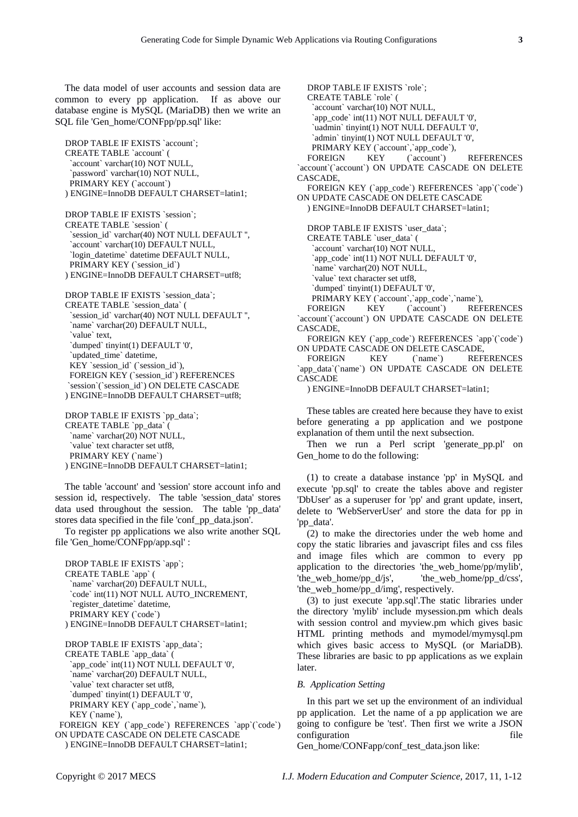The data model of user accounts and session data are common to every pp application. If as above our database engine is MySQL (MariaDB) then we write an SQL file 'Gen\_home/CONFpp/pp.sql' like:

DROP TABLE IF EXISTS `account`; CREATE TABLE `account` ( `account` varchar(10) NOT NULL, `password` varchar(10) NOT NULL, PRIMARY KEY (`account`) ) ENGINE=InnoDB DEFAULT CHARSET=latin1;

DROP TABLE IF EXISTS `session`; CREATE TABLE `session` ( `session\_id` varchar(40) NOT NULL DEFAULT ", `account` varchar(10) DEFAULT NULL, `login\_datetime` datetime DEFAULT NULL, PRIMARY KEY (`session\_id`) ) ENGINE=InnoDB DEFAULT CHARSET=utf8;

DROP TABLE IF EXISTS `session\_data`; CREATE TABLE `session\_data` ( `session\_id` varchar(40) NOT NULL DEFAULT '', `name` varchar(20) DEFAULT NULL, `value` text, `dumped` tinyint(1) DEFAULT '0', `updated\_time` datetime, KEY `session\_id` (`session\_id`), FOREIGN KEY (`session\_id`) REFERENCES `session`(`session\_id`) ON DELETE CASCADE ) ENGINE=InnoDB DEFAULT CHARSET=utf8;

DROP TABLE IF EXISTS `pp\_data`; CREATE TABLE `pp\_data` ( `name` varchar(20) NOT NULL, `value` text character set utf8, PRIMARY KEY (`name`) ) ENGINE=InnoDB DEFAULT CHARSET=latin1;

The table 'account' and 'session' store account info and session id, respectively. The table 'session\_data' stores data used throughout the session. The table 'pp\_data' stores data specified in the file 'conf\_pp\_data.json'.

To register pp applications we also write another SQL file 'Gen\_home/CONFpp/app.sql' :

DROP TABLE IF EXISTS `app`; CREATE TABLE `app` ( `name` varchar(20) DEFAULT NULL, `code` int(11) NOT NULL AUTO\_INCREMENT, `register\_datetime` datetime, PRIMARY KEY (`code`) ) ENGINE=InnoDB DEFAULT CHARSET=latin1; DROP TABLE IF EXISTS `app\_data`;

CREATE TABLE `app\_data` ( `app\_code` int(11) NOT NULL DEFAULT '0', `name` varchar(20) DEFAULT NULL, `value` text character set utf8, `dumped` tinyint(1) DEFAULT '0', PRIMARY KEY (`app\_code`,`name`), KEY (`name`). FOREIGN KEY (`app\_code`) REFERENCES `app`(`code`)

ON UPDATE CASCADE ON DELETE CASCADE ) ENGINE=InnoDB DEFAULT CHARSET=latin1;

DROP TABLE IF EXISTS `role`; CREATE TABLE `role` ( `account` varchar(10) NOT NULL, `app\_code` int(11) NOT NULL DEFAULT '0', `uadmin` tinyint(1) NOT NULL DEFAULT '0', `admin` tinyint(1) NOT NULL DEFAULT '0', PRIMARY KEY (`account`,`app\_code`), FOREIGN KEY (`account`) REFERENCES `account`(`account`) ON UPDATE CASCADE ON DELETE CASCADE, FOREIGN KEY (`app\_code`) REFERENCES `app`(`code`) ON UPDATE CASCADE ON DELETE CASCADE ) ENGINE=InnoDB DEFAULT CHARSET=latin1; DROP TABLE IF EXISTS `user\_data`; CREATE TABLE `user\_data` ( `account` varchar(10) NOT NULL, `app\_code` int(11) NOT NULL DEFAULT '0', `name` varchar(20) NOT NULL, `value` text character set utf8, `dumped` tinyint(1) DEFAULT '0', PRIMARY KEY (`account`,`app\_code`,`name`), FOREIGN KEY (`account`) REFERENCES `account`(`account`) ON UPDATE CASCADE ON DELETE CASCADE,

FOREIGN KEY (`app\_code`) REFERENCES `app`(`code`) ON UPDATE CASCADE ON DELETE CASCADE,

FOREIGN KEY (`name`) REFERENCES `app\_data`(`name`) ON UPDATE CASCADE ON DELETE CASCADE

) ENGINE=InnoDB DEFAULT CHARSET=latin1;

These tables are created here because they have to exist before generating a pp application and we postpone explanation of them until the next subsection.

Then we run a Perl script 'generate\_pp.pl' on Gen home to do the following:

(1) to create a database instance 'pp' in MySQL and execute 'pp.sql' to create the tables above and register 'DbUser' as a superuser for 'pp' and grant update, insert, delete to 'WebServerUser' and store the data for pp in 'pp\_data'.

(2) to make the directories under the web home and copy the static libraries and javascript files and css files and image files which are common to every pp application to the directories 'the\_web\_home/pp/mylib', 'the\_web\_home/pp\_d/js', 'the\_web\_home/pp\_d/css', 'the web home/pp d/img', respectively.

(3) to just execute 'app.sql'.The static libraries under the directory 'mylib' include mysession.pm which deals with session control and myview.pm which gives basic HTML printing methods and mymodel/mymysql.pm which gives basic access to MySQL (or MariaDB). These libraries are basic to pp applications as we explain later.

# *B. Application Setting*

In this part we set up the environment of an individual pp application. Let the name of a pp application we are going to configure be 'test'. Then first we write a JSON configuration file

Gen\_home/CONFapp/conf\_test\_data.json like: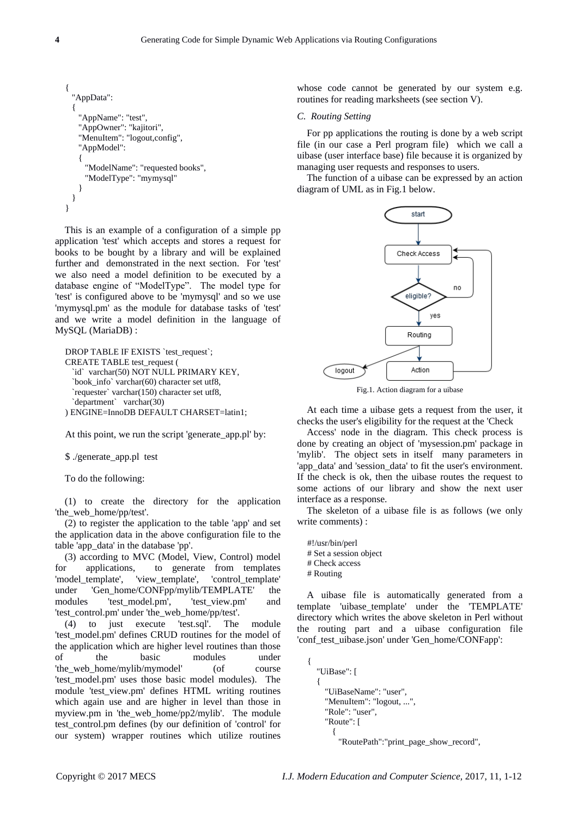```
{
  "AppData":
 {
    "AppName": "test",
    "AppOwner": "kajitori",
   "MenuItem": "logout,config",
    "AppModel": 
    {
      "ModelName": "requested books",
      "ModelType": "mymysql"
    }
  }
}
```
This is an example of a configuration of a simple pp application 'test' which accepts and stores a request for books to be bought by a library and will be explained further and demonstrated in the next section. For 'test' we also need a model definition to be executed by a database engine of "ModelType". The model type for 'test' is configured above to be 'mymysql' and so we use 'mymysql.pm' as the module for database tasks of 'test' and we write a model definition in the language of MySQL (MariaDB) :

```
DROP TABLE IF EXISTS `test_request`;
CREATE TABLE test_request (
  `id` varchar(50) NOT NULL PRIMARY KEY,
  `book_info` varchar(60) character set utf8,
  `requester` varchar(150) character set utf8,
   `department` varchar(30)
) ENGINE=InnoDB DEFAULT CHARSET=latin1;
```
At this point, we run the script 'generate\_app.pl' by:

\$ ./generate\_app.pl test

To do the following:

(1) to create the directory for the application 'the web home/pp/test'.

(2) to register the application to the table 'app' and set the application data in the above configuration file to the table 'app\_data' in the database 'pp'.

(3) according to MVC (Model, View, Control) model for applications, to generate from templates 'model template', 'view template', 'control template' under 'Gen\_home/CONFpp/mylib/TEMPLATE' the modules 'test model.pm', 'test view.pm' and 'test\_control.pm' under 'the\_web\_home/pp/test'.

(4) to just execute 'test.sql'. The module 'test\_model.pm' defines CRUD routines for the model of the application which are higher level routines than those of the basic modules under 'the web home/mylib/mymodel' (of course 'test\_model.pm' uses those basic model modules). The module 'test\_view.pm' defines HTML writing routines which again use and are higher in level than those in myview.pm in 'the web home/pp2/mylib'. The module test\_control.pm defines (by our definition of 'control' for our system) wrapper routines which utilize routines

whose code cannot be generated by our system e.g. routines for reading marksheets (see section V).

# *C. Routing Setting*

For pp applications the routing is done by a web script file (in our case a Perl program file) which we call a uibase (user interface base) file because it is organized by managing user requests and responses to users.

The function of a uibase can be expressed by an action diagram of UML as in Fig.1 below.



Fig.1. Action diagram for a uibase

At each time a uibase gets a request from the user, it checks the user's eligibility for the request at the 'Check

Access' node in the diagram. This check process is done by creating an object of 'mysession.pm' package in 'mylib'. The object sets in itself many parameters in 'app\_data' and 'session\_data' to fit the user's environment. If the check is ok, then the uibase routes the request to some actions of our library and show the next user interface as a response.

The skeleton of a uibase file is as follows (we only write comments) :

#!/usr/bin/perl # Set a session object # Check access # Routing

A uibase file is automatically generated from a template 'uibase\_template' under the 'TEMPLATE' directory which writes the above skeleton in Perl without the routing part and a uibase configuration file 'conf\_test\_uibase.json' under 'Gen\_home/CONFapp':

```
{
  "UiBase": [
  {
    "UiBaseName": "user",
    "MenuItem": "logout, ...",
    "Role": "user",
    "Route": [
       {
        "RoutePath":"print_page_show_record",
```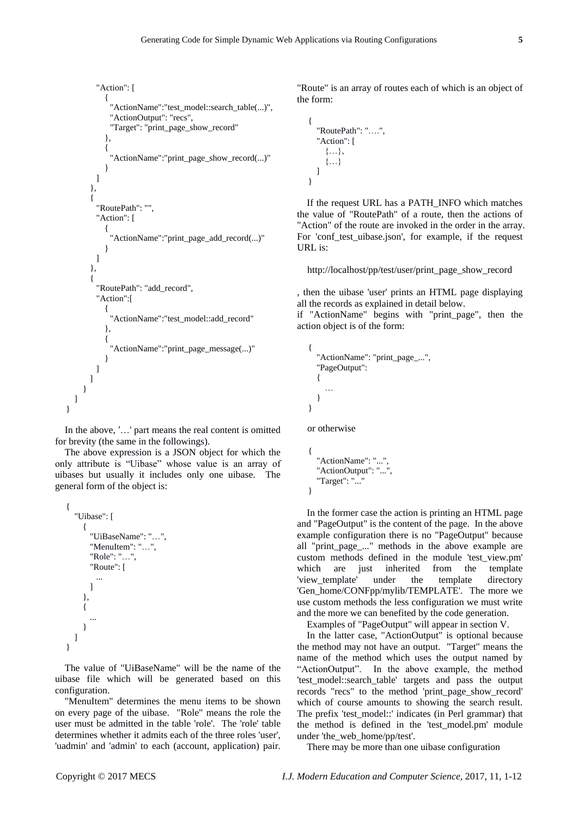```
"Action": [
      {
        "ActionName":"test_model::search_table(...)",
        "ActionOutput": "recs",
        "Target": "print_page_show_record"
      },
      {
        "ActionName":"print_page_show_record(...)"
      }
   ]
  },
  {
    "RoutePath": "",
    "Action": [
      {
        "ActionName":"print_page_add_record(...)"
      }
   ]
  },
  {
    "RoutePath": "add_record",
    "Action":[
      {
        "ActionName":"test_model::add_record"
      },
      {
        "ActionName":"print_page_message(...)"
      }
   ]
 ]
}
```
In the above, '…' part means the real content is omitted for brevity (the same in the followings).

The above expression is a JSON object for which the only attribute is "Uibase" whose value is an array of uibases but usually it includes only one uibase. The general form of the object is:

```
{
  "Uibase": [
    {
      "UiBaseName": "…",
      "MenuItem": "…",
       "Role": "…",
       "Route": [
        ...
      ]
     },
     {
       ...
    }
  ]
}
```
] }

The value of "UiBaseName" will be the name of the uibase file which will be generated based on this configuration.

"MenuItem" determines the menu items to be shown on every page of the uibase. "Role" means the role the user must be admitted in the table 'role'. The 'role' table determines whether it admits each of the three roles 'user', 'uadmin' and 'admin' to each (account, application) pair.

"Route" is an array of routes each of which is an object of the form:

```
{
  "RoutePath": "….",
  "Action": [
    {…},
    {…}
  ]
}
```
If the request URL has a PATH\_INFO which matches the value of "RoutePath" of a route, then the actions of "Action" of the route are invoked in the order in the array. For 'conf\_test\_uibase.json', for example, if the request URL is:

http://localhost/pp/test/user/print\_page\_show\_record

, then the uibase 'user' prints an HTML page displaying all the records as explained in detail below.

if "ActionName" begins with "print\_page", then the action object is of the form:

```
{
  "ActionName": "print_page_...",
  "PageOutput": 
  {
    …
  }
}
```
or otherwise

```
{
  "ActionName": "...",
  "ActionOutput": "...",
  "Target": "..."
}
```
In the former case the action is printing an HTML page and "PageOutput" is the content of the page. In the above example configuration there is no "PageOutput" because all "print\_page\_..." methods in the above example are custom methods defined in the module 'test\_view.pm' which are just inherited from the template 'view template' under the template directory 'Gen\_home/CONFpp/mylib/TEMPLATE'. The more we use custom methods the less configuration we must write and the more we can benefited by the code generation.

Examples of "PageOutput" will appear in section V.

In the latter case, "ActionOutput" is optional because the method may not have an output. "Target" means the name of the method which uses the output named by "ActionOutput". In the above example, the method 'test model::search table' targets and pass the output records "recs" to the method 'print\_page\_show\_record' which of course amounts to showing the search result. The prefix 'test\_model::' indicates (in Perl grammar) that the method is defined in the 'test\_model.pm' module under 'the\_web\_home/pp/test'.

There may be more than one uibase configuration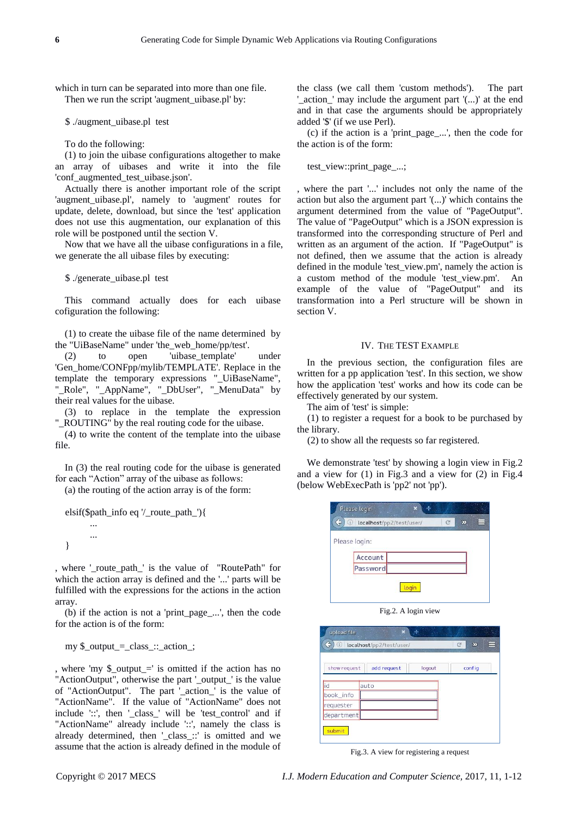which in turn can be separated into more than one file. Then we run the script 'augment\_uibase.pl' by:

\$ ./augment\_uibase.pl test

To do the following:

(1) to join the uibase configurations altogether to make an array of uibases and write it into the file 'conf\_augmented\_test\_uibase.json'.

Actually there is another important role of the script 'augment\_uibase.pl', namely to 'augment' routes for update, delete, download, but since the 'test' application does not use this augmentation, our explanation of this role will be postponed until the section V.

Now that we have all the uibase configurations in a file, we generate the all uibase files by executing:

\$ ./generate\_uibase.pl test

This command actually does for each uibase cofiguration the following:

(1) to create the uibase file of the name determined by the "UiBaseName" under 'the\_web\_home/pp/test'.

(2) to open 'uibase\_template' under 'Gen\_home/CONFpp/mylib/TEMPLATE'. Replace in the template the temporary expressions "\_UiBaseName", "\_Role", "\_AppName", "\_DbUser", "\_MenuData" by their real values for the uibase.

(3) to replace in the template the expression " ROUTING" by the real routing code for the uibase.

(4) to write the content of the template into the uibase file.

In (3) the real routing code for the uibase is generated for each "Action" array of the uibase as follows:

(a) the routing of the action array is of the form:

```
elsif($path_info eq '/_route_path_'){
       ...
       ...
}
```
, where '\_route\_path\_' is the value of "RoutePath" for which the action array is defined and the '...' parts will be fulfilled with the expressions for the actions in the action array.

(b) if the action is not a 'print\_page\_...', then the code for the action is of the form:

my \$\_output\_=\_class\_::\_action\_;

, where 'my  $\frac{1}{2}$  output =' is omitted if the action has no "ActionOutput", otherwise the part '\_output\_' is the value of "ActionOutput". The part '\_action\_' is the value of "ActionName". If the value of "ActionName" does not include '::', then '\_class\_' will be 'test\_control' and if "ActionName" already include '::', namely the class is already determined, then '\_class\_::' is omitted and we assume that the action is already defined in the module of the class (we call them 'custom methods'). The part '\_action\_' may include the argument part '(...)' at the end and in that case the arguments should be appropriately added '\$' (if we use Perl).

(c) if the action is a 'print\_page\_...', then the code for the action is of the form:

test view::print page ...;

, where the part '...' includes not only the name of the action but also the argument part '(...)' which contains the argument determined from the value of "PageOutput". The value of "PageOutput" which is a JSON expression is transformed into the corresponding structure of Perl and written as an argument of the action. If "PageOutput" is not defined, then we assume that the action is already defined in the module 'test view.pm', namely the action is a custom method of the module 'test\_view.pm'. An example of the value of "PageOutput" and its transformation into a Perl structure will be shown in section V.

# IV. THE TEST EXAMPLE

In the previous section, the configuration files are written for a pp application 'test'. In this section, we show how the application 'test' works and how its code can be effectively generated by our system.

The aim of 'test' is simple:

(1) to register a request for a book to be purchased by the library.

(2) to show all the requests so far registered.

We demonstrate 'test' by showing a login view in Fig.2 and a view for (1) in Fig.3 and a view for (2) in Fig.4 (below WebExecPath is 'pp2' not 'pp').

|                 | Please login             |  |  |
|-----------------|--------------------------|--|--|
| G<br>$\bigcirc$ | localhost/pp2/test/user/ |  |  |
|                 | Please login:            |  |  |
|                 | Account                  |  |  |
|                 | Password                 |  |  |
|                 |                          |  |  |

Fig.2. A login view

| $\triangle$<br>$\bullet$ | localhost/pp2/test/user/ |        | c<br>$\overline{\mathbf{p}}$<br>⊨ |
|--------------------------|--------------------------|--------|-----------------------------------|
| show request             | add request              | logout | config                            |
| id                       | auto                     |        |                                   |
| book_info                |                          |        |                                   |
| requester                |                          |        |                                   |
| department               |                          |        |                                   |

Fig.3. A view for registering a request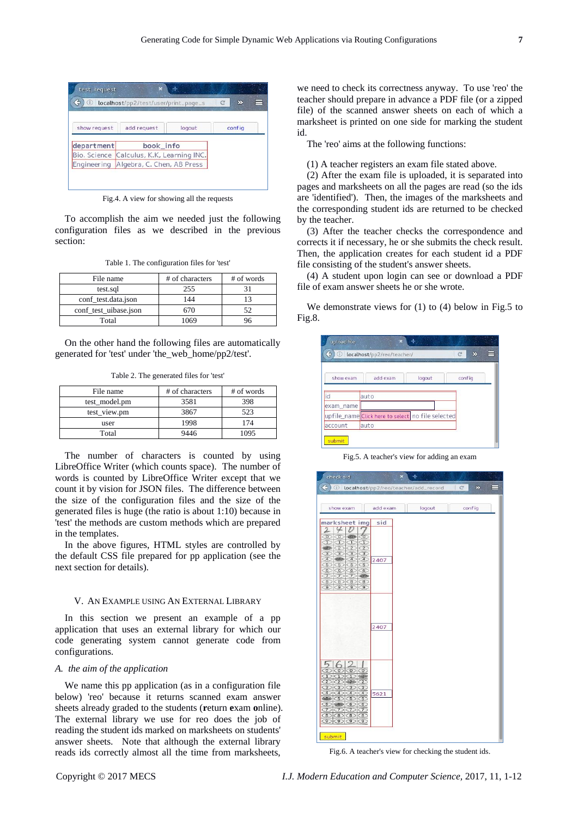|              | localhost/pp2/test/user/print_page_s       |        | C<br>⋝ |  |
|--------------|--------------------------------------------|--------|--------|--|
| show request | add request                                | logout | config |  |
| department   | book_info                                  |        |        |  |
|              | Bio, Science Calculus, K.K., Learning INC. |        |        |  |
| Engineering  | Algebra, C. Chen, AB Press                 |        |        |  |

Fig.4. A view for showing all the requests

To accomplish the aim we needed just the following configuration files as we described in the previous section:

Table 1. The configuration files for 'test'

| File name             | # of characters | # of words |
|-----------------------|-----------------|------------|
| test.sql              | 255             |            |
| conf_test.data.json   | 144             |            |
| conf test uibase.json | 670             | 52         |
| Total                 | 1069            |            |

On the other hand the following files are automatically generated for 'test' under 'the\_web\_home/pp2/test'.

Table 2. The generated files for 'test'

| File name     | # of characters | # of words |
|---------------|-----------------|------------|
| test model.pm | 3581            | 398        |
| test view.pm  | 3867            | 523        |
| user          | 1998            | 174        |
| Total         | 9446            | 1095       |

The number of characters is counted by using LibreOffice Writer (which counts space). The number of words is counted by LibreOffice Writer except that we count it by vision for JSON files. The difference between the size of the configuration files and the size of the generated files is huge (the ratio is about 1:10) because in 'test' the methods are custom methods which are prepared in the templates.

In the above figures, HTML styles are controlled by the default CSS file prepared for pp application (see the next section for details).

#### V. AN EXAMPLE USING AN EXTERNAL LIBRARY

In this section we present an example of a pp application that uses an external library for which our code generating system cannot generate code from configurations.

# *A. the aim of the application*

We name this pp application (as in a configuration file below) 'reo' because it returns scanned exam answer sheets already graded to the students (**r**eturn **e**xam **o**nline). The external library we use for reo does the job of reading the student ids marked on marksheets on students' answer sheets. Note that although the external library reads ids correctly almost all the time from marksheets,

we need to check its correctness anyway. To use 'reo' the teacher should prepare in advance a PDF file (or a zipped file) of the scanned answer sheets on each of which a marksheet is printed on one side for marking the student id.

The 'reo' aims at the following functions:

(1) A teacher registers an exam file stated above.

(2) After the exam file is uploaded, it is separated into pages and marksheets on all the pages are read (so the ids are 'identified'). Then, the images of the marksheets and the corresponding student ids are returned to be checked by the teacher.

(3) After the teacher checks the correspondence and corrects it if necessary, he or she submits the check result. Then, the application creates for each student id a PDF file consisting of the student's answer sheets.

(4) A student upon login can see or download a PDF file of exam answer sheets he or she wrote.

We demonstrate views for (1) to (4) below in Fig.5 to Fig.8.



Fig.5. A teacher's view for adding an exam



Fig.6. A teacher's view for checking the student ids.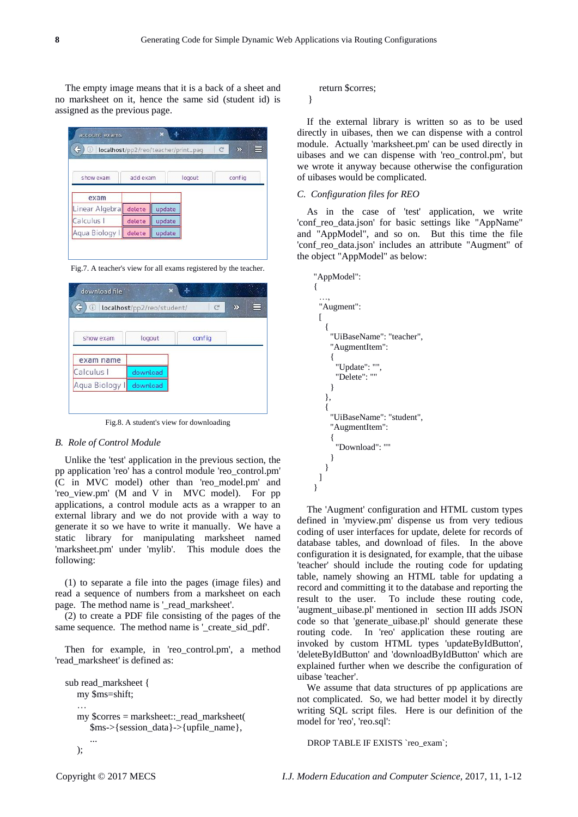The empty image means that it is a back of a sheet and no marksheet on it, hence the same sid (student id) is assigned as the previous page.

| Œ              |          |        | localhost/pp2/reo/teacher/print_pag | ⋿<br>C<br>$\mathbf{z}$ |
|----------------|----------|--------|-------------------------------------|------------------------|
| show exam      | add exam |        | logout                              | config                 |
| exam           |          |        |                                     |                        |
| Linear Algebra | delete   | update |                                     |                        |
| Calculus I     | delete   | update |                                     |                        |
| Aqua Biology I | delete   | update |                                     |                        |

Fig.7. A teacher's view for all exams registered by the teacher.

| ¢<br>Œ         | localhost/pp2/reo/student/ | C      | Σ |  |
|----------------|----------------------------|--------|---|--|
| show exam      | logout                     | config |   |  |
| exam name      |                            |        |   |  |
| Calculus I     | download                   |        |   |  |
| Aqua Biology I | download                   |        |   |  |

Fig.8. A student's view for downloading

# *B. Role of Control Module*

Unlike the 'test' application in the previous section, the pp application 'reo' has a control module 'reo\_control.pm' (C in MVC model) other than 'reo\_model.pm' and 'reo\_view.pm' (M and V in MVC model). For pp applications, a control module acts as a wrapper to an external library and we do not provide with a way to generate it so we have to write it manually. We have a static library for manipulating marksheet named 'marksheet.pm' under 'mylib'. This module does the following:

(1) to separate a file into the pages (image files) and read a sequence of numbers from a marksheet on each page. The method name is '\_read\_marksheet'.

(2) to create a PDF file consisting of the pages of the same sequence. The method name is '\_create\_sid\_pdf'.

Then for example, in 'reo\_control.pm', a method 'read\_marksheet' is defined as:

```
sub read_marksheet {
  my $ms=shift;
  …
  my $corres = marksheet::_read_marksheet(
     $ms->{session_data}->{upfile_name},
      ...
  );
```
#### return \$corres;

}

If the external library is written so as to be used directly in uibases, then we can dispense with a control module. Actually 'marksheet.pm' can be used directly in uibases and we can dispense with 'reo\_control.pm', but we wrote it anyway because otherwise the configuration of uibases would be complicated.

# *C. Configuration files for REO*

As in the case of 'test' application, we write 'conf\_reo\_data.json' for basic settings like "AppName" and "AppModel", and so on. But this time the file 'conf\_reo\_data.json' includes an attribute "Augment" of the object "AppModel" as below:



The 'Augment' configuration and HTML custom types defined in 'myview.pm' dispense us from very tedious coding of user interfaces for update, delete for records of database tables, and download of files. In the above configuration it is designated, for example, that the uibase 'teacher' should include the routing code for updating table, namely showing an HTML table for updating a record and committing it to the database and reporting the result to the user. To include these routing code, 'augment\_uibase.pl' mentioned in section III adds JSON code so that 'generate\_uibase.pl' should generate these routing code. In 'reo' application these routing are invoked by custom HTML types 'updateByIdButton', 'deleteByIdButton' and 'downloadByIdButton' which are explained further when we describe the configuration of uibase 'teacher'.

We assume that data structures of pp applications are not complicated. So, we had better model it by directly writing SQL script files. Here is our definition of the model for 'reo', 'reo.sql':

DROP TABLE IF EXISTS `reo\_exam`;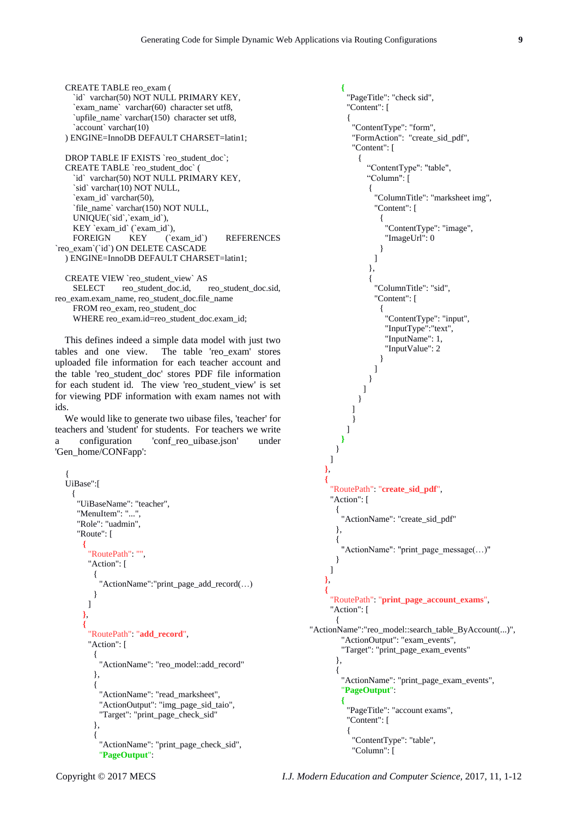```
CREATE TABLE reo_exam (
    `id` varchar(50) NOT NULL PRIMARY KEY,
    `exam_name` varchar(60) character set utf8,
    `upfile_name` varchar(150) character set utf8,
    `account` varchar(10)
  ) ENGINE=InnoDB DEFAULT CHARSET=latin1;
  DROP TABLE IF EXISTS `reo_student_doc`;
  CREATE TABLE `reo_student_doc` (
    `id` varchar(50) NOT NULL PRIMARY KEY,
    `sid` varchar(10) NOT NULL,
    `exam_id` varchar(50),
    `file_name` varchar(150) NOT NULL,
    UNIQUE(`sid`,`exam_id`),
    KEY `exam_id` (`exam_id`),<br>FOREIGN KEY (`e
                          (`exam_id`) REFERENCES
`reo_exam`(`id`) ON DELETE CASCADE
  ) ENGINE=InnoDB DEFAULT CHARSET=latin1;
```
CREATE VIEW `reo\_student\_view` AS SELECT reo\_student\_doc.id, reo\_student\_doc.sid, reo\_exam.exam\_name, reo\_student\_doc.file\_name FROM reo\_exam, reo\_student\_doc WHERE reo\_exam.id=reo\_student\_doc.exam\_id;

This defines indeed a simple data model with just two tables and one view. The table 'reo\_exam' stores uploaded file information for each teacher account and the table 'reo\_student\_doc' stores PDF file information for each student id. The view 'reo\_student\_view' is set for viewing PDF information with exam names not with ids.

We would like to generate two uibase files, 'teacher' for teachers and 'student' for students. For teachers we write a configuration 'conf\_reo\_uibase.json' under 'Gen\_home/CONFapp':

```
{
UiBase":[
  {
   "UiBaseName": "teacher",
   "MenuItem": "...",
   "Role": "uadmin",
   "Route": [
     {
      "RoutePath": "",
      "Action": [
        {
         "ActionName":"print_page_add_record(…)
        }
      ]
     },
     {
      "RoutePath": "add_record",
      "Action": [
        {
         "ActionName": "reo_model::add_record"
        },
        {
         "ActionName": "read_marksheet",
         "ActionOutput": "img_page_sid_taio",
         "Target": "print_page_check_sid"
        },
        {
         "ActionName": "print_page_check_sid",
         "PageOutput":
```

```
{
          "PageTitle": "check sid",
          "Content": [
          {
            "ContentType": "form",
            "FormAction": "create_sid_pdf",
            "Content": [
             {
                "ContentType": "table",
                "Column": [
                {
                  "ColumnTitle": "marksheet img",
                  "Content": [
                    {
                     "ContentType": "image",
                     "ImageUrl": 0
                    }
                  ]
                },
                {
                  "ColumnTitle": "sid",
                  "Content": [
                    {
                     "ContentType": "input",
                     "InputType":"text",
                     "InputName": 1,
                     "InputValue": 2
                    }
                  ]
                }
              ]
             }
           ]
            }
          ]
         }
       }
     ]
    },
    {
     "RoutePath": "create_sid_pdf",
     "Action": [
       \left\{ \right."ActionName": "create_sid_pdf"
       },
       {
        "ActionName": "print_page_message(...)"
       }
     ]
    },
    {
     "RoutePath": "print_page_account_exams",
     "Action": [
       {
"ActionName":"reo_model::search_table_ByAccount(...)",
        "ActionOutput": "exam_events",
        "Target": "print_page_exam_events"
       },
       {
        "ActionName": "print_page_exam_events",
         "PageOutput":
         {
          "PageTitle": "account exams",
          "Content": [
          {
            "ContentType": "table",
            "Column": [
```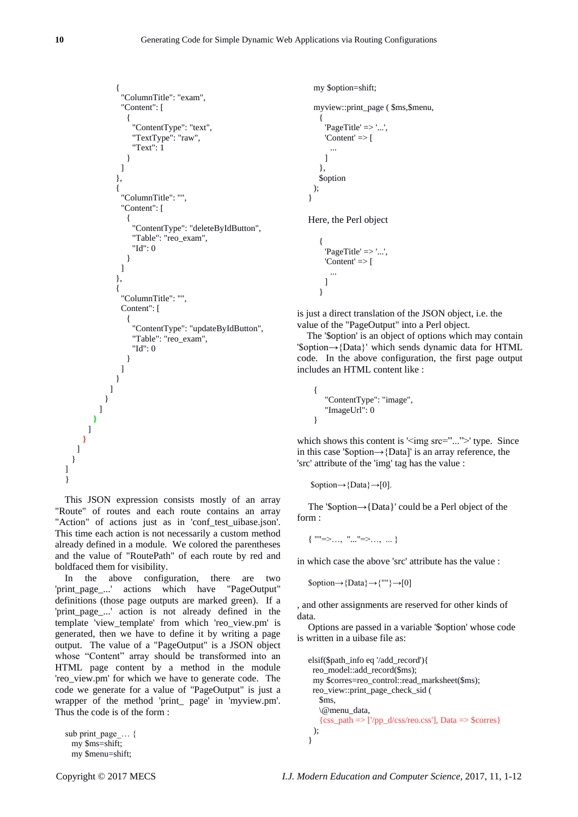```
{
          "ColumnTitle": "exam",
          "Content": [
           {
             "ContentType": "text",
             "TextType": "raw",
             "Text": 1
           }
         ]
        },
        {
          "ColumnTitle": "",
          "Content": [
           {
             "ContentType": "deleteByIdButton",
            "Table": "reo_exam",
             "Id": 0
           }
         ]
        },
        {
          "ColumnTitle": "",
         Content": [
           {
             "ContentType": "updateByIdButton",
             "Table": "reo_exam",
             "Id": 0
           }
         ]
        }
      ]
    }
   ]
 }
]
```
This JSON expression consists mostly of an array "Route" of routes and each route contains an array "Action" of actions just as in 'conf\_test\_uibase.json'. This time each action is not necessarily a custom method already defined in a module. We colored the parentheses and the value of "RoutePath" of each route by red and boldfaced them for visibility.

In the above configuration, there are two 'print\_page\_...' actions which have "PageOutput" definitions (those page outputs are marked green). If a 'print\_page\_...' action is not already defined in the template 'view\_template' from which 'reo\_view.pm' is generated, then we have to define it by writing a page output. The value of a "PageOutput" is a JSON object whose "Content" array should be transformed into an HTML page content by a method in the module 'reo\_view.pm' for which we have to generate code. The code we generate for a value of "PageOutput" is just a wrapper of the method 'print\_ page' in 'myview.pm'. Thus the code is of the form :

```
sub print_page ... {
 my $ms=shift;
 my $menu=shift;
```
**}** ] } ] }

```
my $option=shift;
 myview::print_page ( $ms,$menu,
    {
     'PageTitle' \Rightarrow '...',
     'Content' \Rightarrow [
        ...
     ]
    },
   $option
 );
}
```
Here, the Perl object

```
{
  'PageTitle' \Rightarrow '...',
  'Content' \Rightarrow f...
 ]
}
```
is just a direct translation of the JSON object, i.e. the value of the "PageOutput" into a Perl object.

The '\$option' is an object of options which may contain '\$option→{Data}' which sends dynamic data for HTML code. In the above configuration, the first page output includes an HTML content like :

```
{
   "ContentType": "image",
   "ImageUrl": 0
}
```
which shows this content is  $\langle \text{img src} = "..." \rangle$  type. Since in this case '\$option→{Data]' is an array reference, the 'src' attribute of the 'img' tag has the value :

```
$option→{Data}→[0].
```
The '\$option→{Data}' could be a Perl object of the form :

 $\{$  "" $\Rightarrow$ ..., "..." $\Rightarrow$ ..., ... }

in which case the above 'src' attribute has the value :

 $\text{Soption} \rightarrow \{\text{Data}\} \rightarrow \{""\} \rightarrow [0]$ 

, and other assignments are reserved for other kinds of data.

Options are passed in a variable '\$option' whose code is written in a uibase file as:

```
elsif($path_info eq '/add_record'){
  reo_model::add_record($ms);
  my $corres=reo_control::read_marksheet($ms);
  reo_view::print_page_check_sid (
    $ms,
    \@menu_data,
   \{css\_path = > \frac{\gamma}{pp\_d/css/reo.css'}\}, Data => $corres}
 );
}
```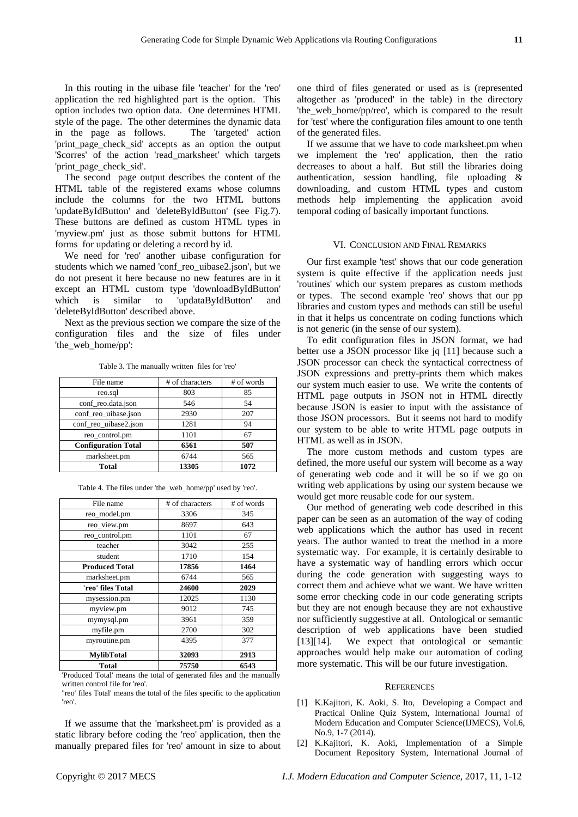In this routing in the uibase file 'teacher' for the 'reo' application the red highlighted part is the option. This option includes two option data. One determines HTML style of the page. The other determines the dynamic data in the page as follows. The 'targeted' action 'print\_page\_check\_sid' accepts as an option the output '\$corres' of the action 'read\_marksheet' which targets 'print\_page\_check\_sid'.

The second page output describes the content of the HTML table of the registered exams whose columns include the columns for the two HTML buttons 'updateByIdButton' and 'deleteByIdButton' (see Fig.7). These buttons are defined as custom HTML types in 'myview.pm' just as those submit buttons for HTML forms for updating or deleting a record by id.

We need for 'reo' another uibase configuration for students which we named 'conf\_reo\_uibase2.json', but we do not present it here because no new features are in it except an HTML custom type 'downloadByIdButton' which is similar to 'updataByIdButton' and 'deleteByIdButton' described above.

Next as the previous section we compare the size of the configuration files and the size of files under 'the web home/pp':

| File name                  | # of characters | # of words |
|----------------------------|-----------------|------------|
| reo.sql                    | 803             | 85         |
| conf_reo.data.json         | 546             | 54         |
| conf_reo_uibase.json       | 2930            | 207        |
| conf_reo_uibase2.json      | 1281            | 94         |
| reo control.pm             | 1101            | 67         |
| <b>Configuration Total</b> | 6561            | 507        |
| marksheet.pm               | 6744            | 565        |
| Total                      | 13305           | 1072       |

Table 3. The manually written files for 'reo'

| File name             | # of characters | # of words |
|-----------------------|-----------------|------------|
| reo_model.pm          | 3306            | 345        |
| reo_view.pm           | 8697            | 643        |
| reo_control.pm        | 1101            | 67         |
| teacher               | 3042            | 255        |
| student               | 1710            | 154        |
| <b>Produced Total</b> | 17856           | 1464       |
| marksheet.pm          | 6744            | 565        |
| 'reo' files Total     | 24600           | 2029       |
| mysession.pm          | 12025           | 1130       |
| myview.pm             | 9012            | 745        |
| mymysql.pm            | 3961            | 359        |
| myfile.pm             | 2700            | 302        |
| myroutine.pm          | 4395            | 377        |
| <b>MylibTotal</b>     | 32093           | 2913       |
| Total                 | 75750           | 6543       |

Table 4. The files under 'the\_web\_home/pp' used by 'reo'.

'Produced Total' means the total of generated files and the manually written control file for 'reo'.

''reo' files Total' means the total of the files specific to the application 'reo'.

If we assume that the 'marksheet.pm' is provided as a static library before coding the 'reo' application, then the manually prepared files for 'reo' amount in size to about

one third of files generated or used as is (represented altogether as 'produced' in the table) in the directory 'the\_web\_home/pp/reo', which is compared to the result for 'test' where the configuration files amount to one tenth of the generated files.

If we assume that we have to code marksheet.pm when we implement the 'reo' application, then the ratio decreases to about a half. But still the libraries doing authentication, session handling, file uploading & downloading, and custom HTML types and custom methods help implementing the application avoid temporal coding of basically important functions.

#### VI. CONCLUSION AND FINAL REMARKS

Our first example 'test' shows that our code generation system is quite effective if the application needs just 'routines' which our system prepares as custom methods or types. The second example 'reo' shows that our pp libraries and custom types and methods can still be useful in that it helps us concentrate on coding functions which is not generic (in the sense of our system).

To edit configuration files in JSON format, we had better use a JSON processor like jq [11] because such a JSON processor can check the syntactical correctness of JSON expressions and pretty-prints them which makes our system much easier to use. We write the contents of HTML page outputs in JSON not in HTML directly because JSON is easier to input with the assistance of those JSON processors. But it seems not hard to modify our system to be able to write HTML page outputs in HTML as well as in JSON.

The more custom methods and custom types are defined, the more useful our system will become as a way of generating web code and it will be so if we go on writing web applications by using our system because we would get more reusable code for our system.

Our method of generating web code described in this paper can be seen as an automation of the way of coding web applications which the author has used in recent years. The author wanted to treat the method in a more systematic way. For example, it is certainly desirable to have a systematic way of handling errors which occur during the code generation with suggesting ways to correct them and achieve what we want. We have written some error checking code in our code generating scripts but they are not enough because they are not exhaustive nor sufficiently suggestive at all. Ontological or semantic description of web applications have been studied [13][14]. We expect that ontological or semantic approaches would help make our automation of coding more systematic. This will be our future investigation.

#### **REFERENCES**

- [1] K.Kajitori, K. Aoki, S. Ito, Developing a Compact and Practical Online Quiz System, International Journal of Modern Education and Computer Science(IJMECS), Vol.6, No.9, 1-7 (2014).
- [2] K.Kajitori, K. Aoki, Implementation of a Simple Document Repository System, International Journal of